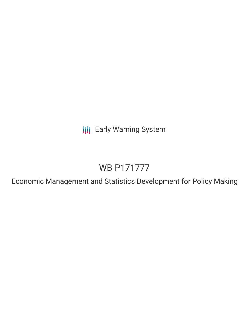**III** Early Warning System

# WB-P171777

Economic Management and Statistics Development for Policy Making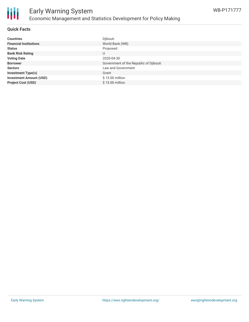

### Early Warning System Economic Management and Statistics Development for Policy Making

#### **Quick Facts**

| <b>Countries</b>               | Djibouti                               |
|--------------------------------|----------------------------------------|
| <b>Financial Institutions</b>  | World Bank (WB)                        |
| <b>Status</b>                  | Proposed                               |
| <b>Bank Risk Rating</b>        | U                                      |
| <b>Voting Date</b>             | 2020-04-30                             |
| <b>Borrower</b>                | Government of the Republic of Djibouti |
| <b>Sectors</b>                 | Law and Government                     |
| <b>Investment Type(s)</b>      | Grant                                  |
| <b>Investment Amount (USD)</b> | $$15.00$ million                       |
| <b>Project Cost (USD)</b>      | $$15.00$ million                       |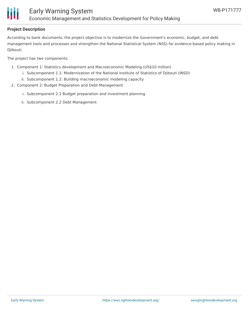

#### **Project Description**

According to bank documents, the project objective is to modernize the Government's economic, budget, and debt management tools and processes and strengthen the National Statistical System (NSS) for evidence-based policy making in Djibouti.

The project has two components:

- 1. Component 1: Statistics development and Macroeconomic Modeling (US\$10 million)
	- i. Subcomponent 1.1: Modernization of the National Institute of Statistics of Djibouti (INSD)
	- ii. Subcomponent 1.2: Building macroeconomic modeling capacity
- 2. Component 2: Budget Preparation and Debt Management
	- i. Subcomponent 2.1 Budget preparation and investment planning
	- ii. Subcomponent 2.2 Debt Management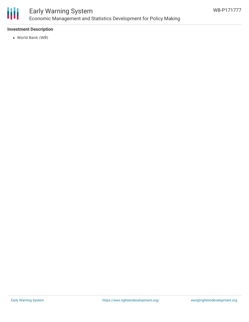

### Early Warning System Economic Management and Statistics Development for Policy Making

#### **Investment Description**

World Bank (WB)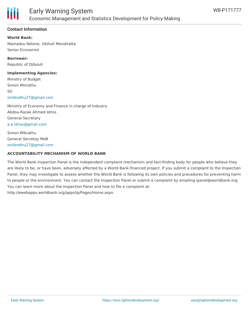

#### **Contact Information**

**World Bank:** Mamadou Ndione, Vibhuti Mendiratta Senior Economist

**Borrower:** Republic of Djibouti

**Implementing Agencies:**

Ministry of Budget Simon Minrathu SG [smibrathu27@gmail.com](mailto:smibrathu27@gmail.com)

Ministry of Economy and Finance in charge of Industry Abdou-Razak Ahmed Idriss General Secretary [a.a.idriss@gmail.com](mailto:a.a.idriss@gmail.com)

Simon Mibrathu General Secretay MoB [smibrathu27@gmail.com](mailto:smibrathu27@gmail.com)

#### **ACCOUNTABILITY MECHANISM OF WORLD BANK**

The World Bank Inspection Panel is the independent complaint mechanism and fact-finding body for people who believe they are likely to be, or have been, adversely affected by a World Bank-financed project. If you submit a complaint to the Inspection Panel, they may investigate to assess whether the World Bank is following its own policies and procedures for preventing harm to people or the environment. You can contact the Inspection Panel or submit a complaint by emailing ipanel@worldbank.org. You can learn more about the Inspection Panel and how to file a complaint at: http://ewebapps.worldbank.org/apps/ip/Pages/Home.aspx.